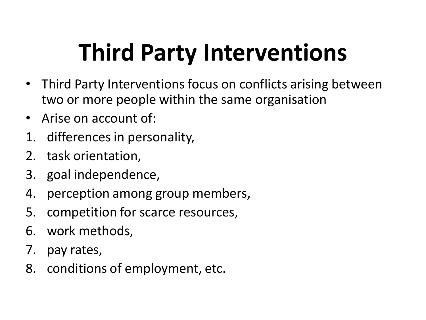## **Third Party Interventions**

- Third Party Interventions focus on conflicts arising between two or more people within the same organisation
- Arise on account of:
- 1. differences in personality,
- 2. task orientation,
- 3. goal independence,
- 4. perception among group members,
- 5. competition for scarce resources,
- 6. work methods,
- 7. pay rates,
- 8. conditions of employment, etc.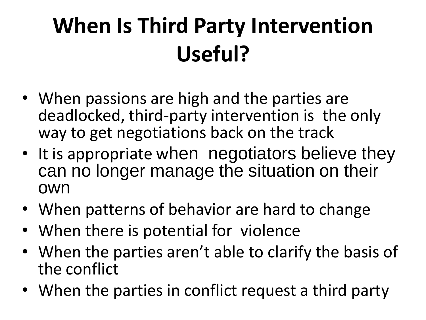## **When Is Third Party Intervention Useful?**

- When passions are high and the parties are deadlocked, third-party intervention is the only way to get negotiations back on the track
- It is appropriate when negotiators believe they can no longer manage the situation on their own
- When patterns of behavior are hard to change
- When there is potential for violence
- When the parties aren't able to clarify the basis of the conflict
- When the parties in conflict request a third party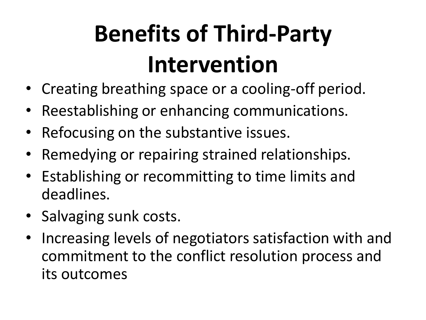# **Benefits of Third-Party Intervention**

- Creating breathing space or a cooling-off period.
- Reestablishing or enhancing communications.
- Refocusing on the substantive issues.
- Remedying or repairing strained relationships.
- Establishing or recommitting to time limits and deadlines.
- Salvaging sunk costs.
- Increasing levels of negotiators satisfaction with and commitment to the conflict resolution process and its outcomes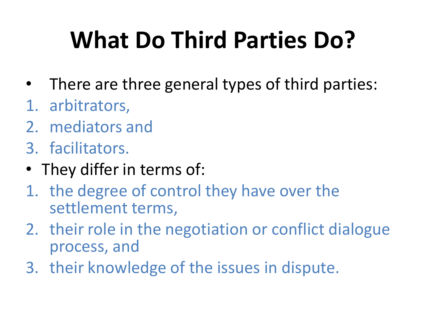# **What Do Third Parties Do?**

- There are three general types of third parties:
- 1. arbitrators,
- 2. mediators and
- 3. facilitators.
- They differ in terms of:
- 1. the degree of control they have over the settlement terms,
- 2. their role in the negotiation or conflict dialogue process, and
- 3. their knowledge of the issues in dispute.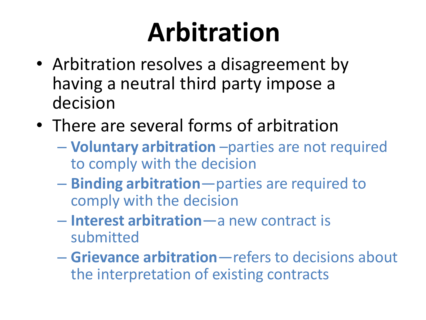# **Arbitration**

- Arbitration resolves a disagreement by having a neutral third party impose a decision
- There are several forms of arbitration
	- **Voluntary arbitration** –parties are not required to comply with the decision
	- **Binding arbitration**—parties are required to comply with the decision
	- **Interest arbitration**—a new contract is submitted
	- **Grievance arbitration**—refers to decisions about the interpretation of existing contracts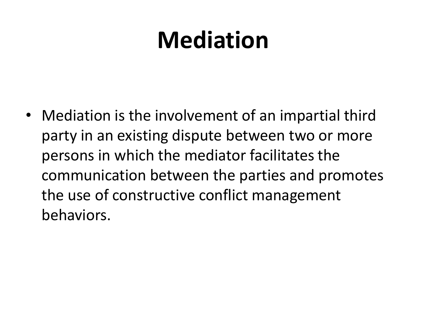## **Mediation**

• Mediation is the involvement of an impartial third party in an existing dispute between two or more persons in which the mediator facilitates the communication between the parties and promotes the use of constructive conflict management behaviors.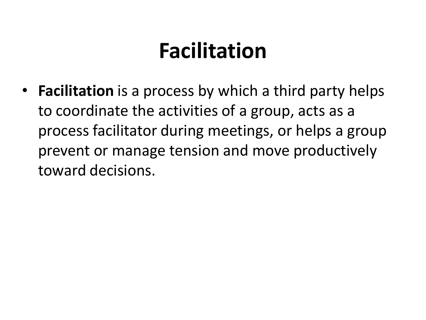#### **Facilitation**

• **Facilitation** is a process by which a third party helps to coordinate the activities of a group, acts as a process facilitator during meetings, or helps a group prevent or manage tension and move productively toward decisions.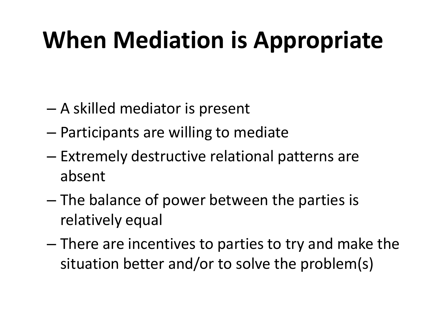## **When Mediation is Appropriate**

- A skilled mediator is present
- Participants are willing to mediate
- Extremely destructive relational patterns are absent
- The balance of power between the parties is relatively equal
- There are incentives to parties to try and make the situation better and/or to solve the problem(s)